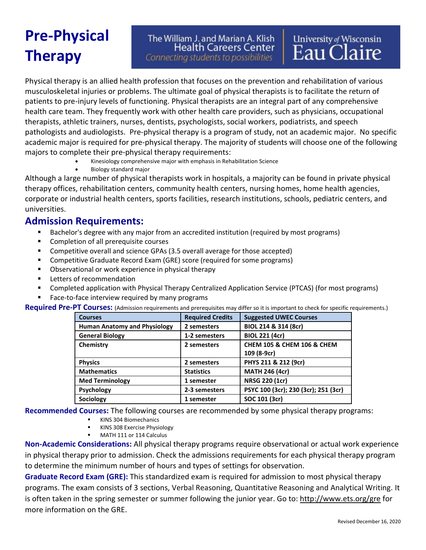## **Pre-Physical Therapy**

The William J. and Marian A. Klish **Health Careers Center** Connecting students to possibilities

# University of Wisconsin<br>Eau Claire

Physical therapy is an allied health profession that focuses on the prevention and rehabilitation of various musculoskeletal injuries or problems. The ultimate goal of physical therapists is to facilitate the return of patients to pre-injury levels of functioning. Physical therapists are an integral part of any comprehensive health care team. They frequently work with other health care providers, such as physicians, occupational therapists, athletic trainers, nurses, dentists, psychologists, social workers, podiatrists, and speech pathologists and audiologists. Pre-physical therapy is a program of study, not an academic major. No specific academic major is required for pre-physical therapy. The majority of students will choose one of the following majors to complete their pre-physical therapy requirements:

- Kinesiology comprehensive major with emphasis in Rehabilitation Science
- Biology standard major

Although a large number of physical therapists work in hospitals, a majority can be found in private physical therapy offices, rehabilitation centers, community health centers, nursing homes, home health agencies, corporate or industrial health centers, sports facilities, research institutions, schools, pediatric centers, and universities.

### **Admission Requirements:**

- Bachelor's degree with any major from an accredited institution (required by most programs)
- Completion of all prerequisite courses
- Competitive overall and science GPAs (3.5 overall average for those accepted)
- Competitive Graduate Record Exam (GRE) score (required for some programs)
- Observational or work experience in physical therapy
- Letters of recommendation
- Completed application with Physical Therapy Centralized Application Service (PTCAS) (for most programs)
- Face-to-face interview required by many programs

**Required Pre-PT Courses:** (Admission requirements and prerequisites may differ so it is important to check for specific requirements.)

| <b>Courses</b>                      | <b>Required Credits</b> | <b>Suggested UWEC Courses</b>             |
|-------------------------------------|-------------------------|-------------------------------------------|
| <b>Human Anatomy and Physiology</b> | 2 semesters             | BIOL 214 & 314 (8cr)                      |
| <b>General Biology</b>              | 1-2 semesters           | <b>BIOL 221 (4cr)</b>                     |
| Chemistry                           | 2 semesters             | <b>CHEM 105 &amp; CHEM 106 &amp; CHEM</b> |
|                                     |                         | 109 (8-9cr)                               |
| <b>Physics</b>                      | 2 semesters             | PHYS 211 & 212 (9cr)                      |
| <b>Mathematics</b>                  | <b>Statistics</b>       | <b>MATH 246 (4cr)</b>                     |
| <b>Med Terminology</b>              | 1 semester              | <b>NRSG 220 (1cr)</b>                     |
| Psychology                          | 2-3 semesters           | PSYC 100 (3cr); 230 (3cr); 251 (3cr)      |
| Sociology                           | 1 semester              | SOC 101 (3cr)                             |

**Recommended Courses:** The following courses are recommended by some physical therapy programs:

- KINS 304 Biomechanics
- **EXECT:** KINS 308 Exercise Physiology
- MATH 111 or 114 Calculus

**Non-Academic Considerations:** All physical therapy programs require observational or actual work experience in physical therapy prior to admission. Check the admissions requirements for each physical therapy program to determine the minimum number of hours and types of settings for observation.

**Graduate Record Exam (GRE):** This standardized exam is required for admission to most physical therapy programs. The exam consists of 3 sections, Verbal Reasoning, Quantitative Reasoning and Analytical Writing. It is often taken in the spring semester or summer following the junior year. Go to:<http://www.ets.org/gre> for more information on the GRE.